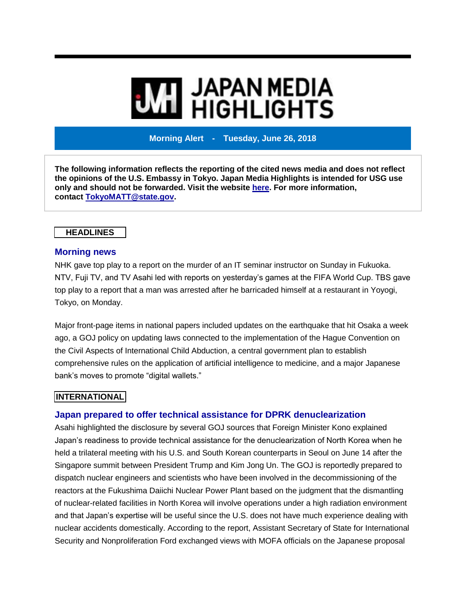# **MI** JAPAN MEDIA<br>MI HIGHLIGHTS

**Morning Alert - Tuesday, June 26, 2018**

**The following information reflects the reporting of the cited news media and does not reflect the opinions of the U.S. Embassy in Tokyo. Japan Media Highlights is intended for USG use only and should not be forwarded. Visit the website [here.](https://jmh.usembassy.gov/) For more information, contact [TokyoMATT@state.gov.](mailto:TokyoMATT@state.gov)**

# **HEADLINES**

## **Morning news**

NHK gave top play to a report on the murder of an IT seminar instructor on Sunday in Fukuoka. NTV, Fuji TV, and TV Asahi led with reports on yesterday's games at the FIFA World Cup. TBS gave top play to a report that a man was arrested after he barricaded himself at a restaurant in Yoyogi, Tokyo, on Monday.

Major front-page items in national papers included updates on the earthquake that hit Osaka a week ago, a GOJ policy on updating laws connected to the implementation of the Hague Convention on the Civil Aspects of International Child Abduction, a central government plan to establish comprehensive rules on the application of artificial intelligence to medicine, and a major Japanese bank's moves to promote "digital wallets."

# **INTERNATIONAL**

# **Japan prepared to offer technical assistance for DPRK denuclearization**

Asahi highlighted the disclosure by several GOJ sources that Foreign Minister Kono explained Japan's readiness to provide technical assistance for the denuclearization of North Korea when he held a trilateral meeting with his U.S. and South Korean counterparts in Seoul on June 14 after the Singapore summit between President Trump and Kim Jong Un. The GOJ is reportedly prepared to dispatch nuclear engineers and scientists who have been involved in the decommissioning of the reactors at the Fukushima Daiichi Nuclear Power Plant based on the judgment that the dismantling of nuclear-related facilities in North Korea will involve operations under a high radiation environment and that Japan's expertise will be useful since the U.S. does not have much experience dealing with nuclear accidents domestically. According to the report, Assistant Secretary of State for International Security and Nonproliferation Ford exchanged views with MOFA officials on the Japanese proposal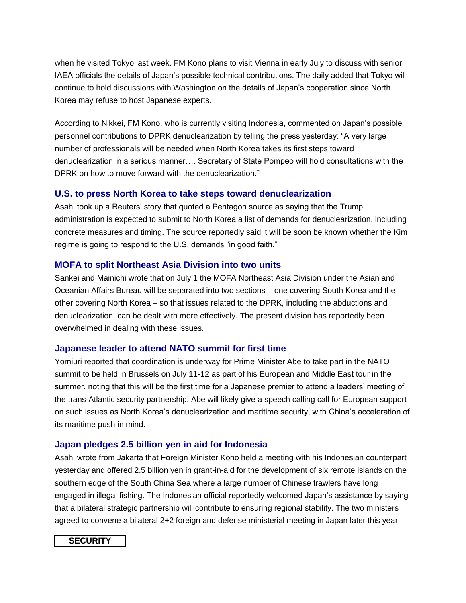when he visited Tokyo last week. FM Kono plans to visit Vienna in early July to discuss with senior IAEA officials the details of Japan's possible technical contributions. The daily added that Tokyo will continue to hold discussions with Washington on the details of Japan's cooperation since North Korea may refuse to host Japanese experts.

According to Nikkei, FM Kono, who is currently visiting Indonesia, commented on Japan's possible personnel contributions to DPRK denuclearization by telling the press yesterday: "A very large number of professionals will be needed when North Korea takes its first steps toward denuclearization in a serious manner…. Secretary of State Pompeo will hold consultations with the DPRK on how to move forward with the denuclearization."

# **U.S. to press North Korea to take steps toward denuclearization**

Asahi took up a Reuters' story that quoted a Pentagon source as saying that the Trump administration is expected to submit to North Korea a list of demands for denuclearization, including concrete measures and timing. The source reportedly said it will be soon be known whether the Kim regime is going to respond to the U.S. demands "in good faith."

#### **MOFA to split Northeast Asia Division into two units**

Sankei and Mainichi wrote that on July 1 the MOFA Northeast Asia Division under the Asian and Oceanian Affairs Bureau will be separated into two sections – one covering South Korea and the other covering North Korea – so that issues related to the DPRK, including the abductions and denuclearization, can be dealt with more effectively. The present division has reportedly been overwhelmed in dealing with these issues.

#### **Japanese leader to attend NATO summit for first time**

Yomiuri reported that coordination is underway for Prime Minister Abe to take part in the NATO summit to be held in Brussels on July 11-12 as part of his European and Middle East tour in the summer, noting that this will be the first time for a Japanese premier to attend a leaders' meeting of the trans-Atlantic security partnership. Abe will likely give a speech calling call for European support on such issues as North Korea's denuclearization and maritime security, with China's acceleration of its maritime push in mind.

#### **Japan pledges 2.5 billion yen in aid for Indonesia**

Asahi wrote from Jakarta that Foreign Minister Kono held a meeting with his Indonesian counterpart yesterday and offered 2.5 billion yen in grant-in-aid for the development of six remote islands on the southern edge of the South China Sea where a large number of Chinese trawlers have long engaged in illegal fishing. The Indonesian official reportedly welcomed Japan's assistance by saying that a bilateral strategic partnership will contribute to ensuring regional stability. The two ministers agreed to convene a bilateral 2+2 foreign and defense ministerial meeting in Japan later this year.

# **SECURITY**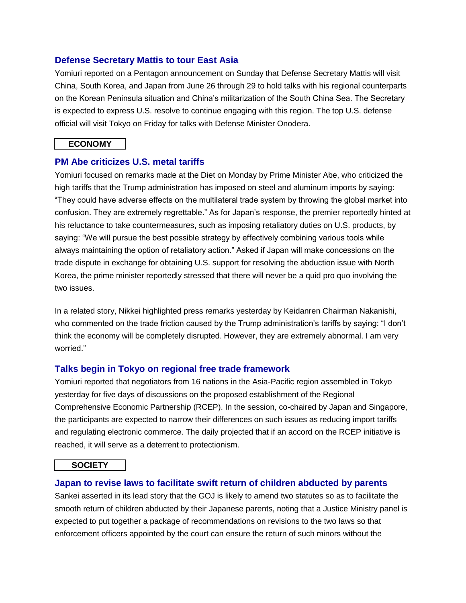## **Defense Secretary Mattis to tour East Asia**

Yomiuri reported on a Pentagon announcement on Sunday that Defense Secretary Mattis will visit China, South Korea, and Japan from June 26 through 29 to hold talks with his regional counterparts on the Korean Peninsula situation and China's militarization of the South China Sea. The Secretary is expected to express U.S. resolve to continue engaging with this region. The top U.S. defense official will visit Tokyo on Friday for talks with Defense Minister Onodera.

#### **ECONOMY**

# **PM Abe criticizes U.S. metal tariffs**

Yomiuri focused on remarks made at the Diet on Monday by Prime Minister Abe, who criticized the high tariffs that the Trump administration has imposed on steel and aluminum imports by saying: "They could have adverse effects on the multilateral trade system by throwing the global market into confusion. They are extremely regrettable." As for Japan's response, the premier reportedly hinted at his reluctance to take countermeasures, such as imposing retaliatory duties on U.S. products, by saying: "We will pursue the best possible strategy by effectively combining various tools while always maintaining the option of retaliatory action." Asked if Japan will make concessions on the trade dispute in exchange for obtaining U.S. support for resolving the abduction issue with North Korea, the prime minister reportedly stressed that there will never be a quid pro quo involving the two issues.

In a related story, Nikkei highlighted press remarks yesterday by Keidanren Chairman Nakanishi, who commented on the trade friction caused by the Trump administration's tariffs by saying: "I don't think the economy will be completely disrupted. However, they are extremely abnormal. I am very worried."

# **Talks begin in Tokyo on regional free trade framework**

Yomiuri reported that negotiators from 16 nations in the Asia-Pacific region assembled in Tokyo yesterday for five days of discussions on the proposed establishment of the Regional Comprehensive Economic Partnership (RCEP). In the session, co-chaired by Japan and Singapore, the participants are expected to narrow their differences on such issues as reducing import tariffs and regulating electronic commerce. The daily projected that if an accord on the RCEP initiative is reached, it will serve as a deterrent to protectionism.

#### **SOCIETY**

#### **Japan to revise laws to facilitate swift return of children abducted by parents**

Sankei asserted in its lead story that the GOJ is likely to amend two statutes so as to facilitate the smooth return of children abducted by their Japanese parents, noting that a Justice Ministry panel is expected to put together a package of recommendations on revisions to the two laws so that enforcement officers appointed by the court can ensure the return of such minors without the